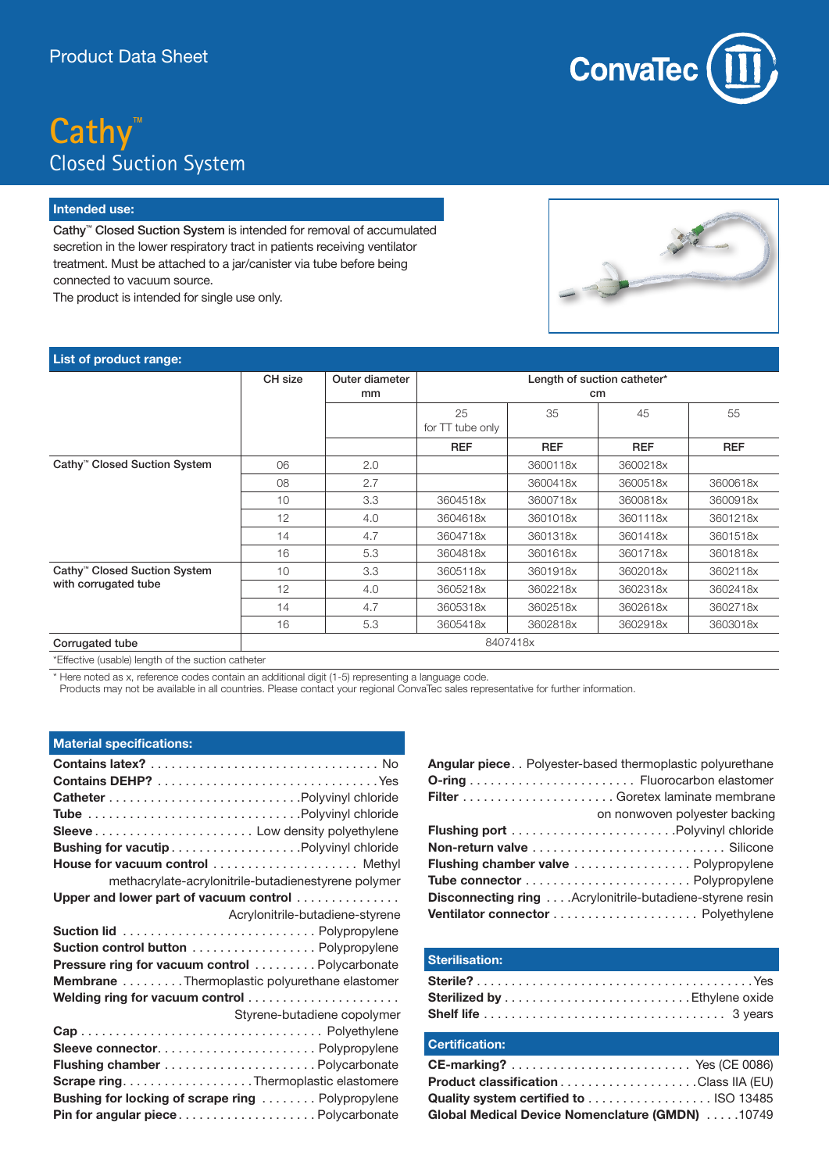## **Cathy™** Closed Suction System

### **Intended use:**

Cathy™ Closed Suction System is intended for removal of accumulated secretion in the lower respiratory tract in patients receiving ventilator treatment. Must be attached to a jar/canister via tube before being connected to vacuum source.

The product is intended for single use only.



| List of product range:                             |          |                      |                                   |            |            |            |
|----------------------------------------------------|----------|----------------------|-----------------------------------|------------|------------|------------|
|                                                    | CH size  | Outer diameter<br>mm | Length of suction catheter*<br>cm |            |            |            |
|                                                    |          |                      | 25<br>for TT tube only            | 35         | 45         | 55         |
|                                                    |          |                      | <b>REF</b>                        | <b>REF</b> | <b>REF</b> | <b>REF</b> |
| Cathy <sup>™</sup> Closed Suction System           | 06       | 2.0                  |                                   | 3600118x   | 3600218x   |            |
|                                                    | 08       | 2.7                  |                                   | 3600418x   | 3600518x   | 3600618x   |
|                                                    | 10       | 3.3                  | 3604518x                          | 3600718x   | 3600818x   | 3600918x   |
|                                                    | 12       | 4.0                  | 3604618x                          | 3601018x   | 3601118x   | 3601218x   |
|                                                    | 14       | 4.7                  | 3604718x                          | 3601318x   | 3601418x   | 3601518x   |
|                                                    | 16       | 5.3                  | 3604818x                          | 3601618x   | 3601718x   | 3601818x   |
| Cathy <sup>™</sup> Closed Suction System           | 10       | 3.3                  | 3605118x                          | 3601918x   | 3602018x   | 3602118x   |
| with corrugated tube                               | 12       | 4.0                  | 3605218x                          | 3602218x   | 3602318x   | 3602418x   |
|                                                    | 14       | 4.7                  | 3605318x                          | 3602518x   | 3602618x   | 3602718x   |
|                                                    | 16       | 5.3                  | 3605418x                          | 3602818x   | 3602918x   | 3603018x   |
| Corrugated tube                                    | 8407418x |                      |                                   |            |            |            |
| *Effective (usable) length of the suction catheter |          |                      |                                   |            |            |            |

\* Here noted as x, reference codes contain an additional digit (1-5) representing a language code.

Products may not be available in all countries. Please contact your regional ConvaTec sales representative for further information.

#### **Material specifications:**

| House for vacuum control  Methyl                         |
|----------------------------------------------------------|
| methacrylate-acrylonitrile-butadienestyrene polymer      |
| Upper and lower part of vacuum control                   |
| Acrylonitrile-butadiene-styrene                          |
|                                                          |
| Suction control button Polypropylene                     |
| Pressure ring for vacuum control Polycarbonate           |
| <b>Membrane</b> Thermoplastic polyurethane elastomer     |
| Welding ring for vacuum control                          |
| Styrene-butadiene copolymer                              |
|                                                          |
|                                                          |
|                                                          |
| Scrape ring. Thermoplastic elastomere                    |
| <b>Bushing for locking of scrape ring  Polypropylene</b> |
| Pin for angular piecePolycarbonate                       |

| <b>Angular piece</b> Polyester-based thermoplastic polyurethane    |                               |
|--------------------------------------------------------------------|-------------------------------|
|                                                                    |                               |
|                                                                    |                               |
|                                                                    | on nonwoven polyester backing |
|                                                                    |                               |
|                                                                    |                               |
| <b>Flushing chamber valve </b> Polypropylene                       |                               |
|                                                                    |                               |
| <b>Disconnecting ring </b> . Acrylonitrile-butadiene-styrene resin |                               |
|                                                                    |                               |

#### **Sterilisation:**

## **Certification:**

| <b>Product classification Class IIA (EU)</b>    |  |
|-------------------------------------------------|--|
|                                                 |  |
| Global Medical Device Nomenclature (GMDN) 10749 |  |